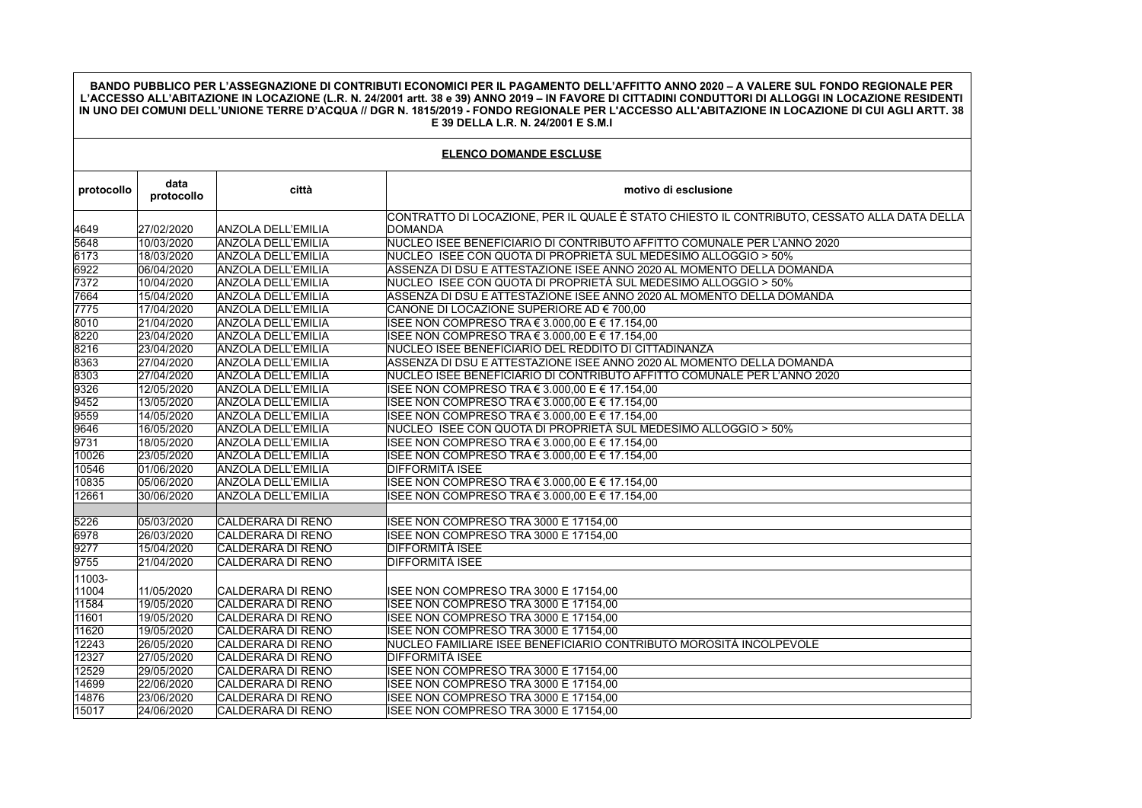**BANDO PUBBLICO PER L'ASSEGNAZIONE DI CONTRIBUTI ECONOMICI PER IL PAGAMENTO DELL'AFFITTO ANNO 2020 – A VALERE SUL FONDO REGIONALE PER L'ACCESSO ALL'ABITAZIONE IN LOCAZIONE (L.R. N. 24/2001 artt. 38 e 39) ANNO 2019 – IN FAVORE DI CITTADINI CONDUTTORI DI ALLOGGI IN LOCAZIONE RESIDENTI IN UNO DEI COMUNI DELL'UNIONE TERRE D'ACQUA // DGR N. 1815/2019 - FONDO REGIONALE PER L'ACCESSO ALL'ABITAZIONE IN LOCAZIONE DI CUI AGLI ARTT. 38 E 39 DELLA L.R. N. 24/2001 E S.M.I**

| <b>ELENCO DOMANDE ESCLUSE</b> |                    |                           |                                                                                             |  |  |
|-------------------------------|--------------------|---------------------------|---------------------------------------------------------------------------------------------|--|--|
| protocollo                    | data<br>protocollo | città                     | motivo di esclusione                                                                        |  |  |
|                               |                    |                           | CONTRATTO DI LOCAZIONE, PER IL QUALE È STATO CHIESTO IL CONTRIBUTO, CESSATO ALLA DATA DELLA |  |  |
| 4649                          | 27/02/2020         | ANZOLA DELL'EMILIA        | <b>DOMANDA</b>                                                                              |  |  |
| 5648                          | 10/03/2020         | <b>ANZOLA DELL'EMILIA</b> | NUCLEO ISEE BENEFICIARIO DI CONTRIBUTO AFFITTO COMUNALE PER L'ANNO 2020                     |  |  |
| 6173                          | 18/03/2020         | ANZOLA DELL'EMILIA        | NUCLEO ISEE CON QUOTA DI PROPRIETÀ SUL MEDESIMO ALLOGGIO > 50%                              |  |  |
| 6922                          | 06/04/2020         | ANZOLA DELL'EMILIA        | ASSENZA DI DSU E ATTESTAZIONE ISEE ANNO 2020 AL MOMENTO DELLA DOMANDA                       |  |  |
| 7372                          | 10/04/2020         | ANZOLA DELL'EMILIA        | NUCLEO ISEE CON QUOTA DI PROPRIETÀ SUL MEDESIMO ALLOGGIO > 50%                              |  |  |
| 7664                          | 15/04/2020         | ANZOLA DELL'EMILIA        | ASSENZA DI DSU E ATTESTAZIONE ISEE ANNO 2020 AL MOMENTO DELLA DOMANDA                       |  |  |
| 7775                          | 17/04/2020         | ANZOLA DELL'EMILIA        | CANONE DI LOCAZIONE SUPERIORE AD € 700,00                                                   |  |  |
| 8010                          | 21/04/2020         | <b>ANZOLA DELL'EMILIA</b> | ISEE NON COMPRESO TRA € 3.000,00 E € 17.154,00                                              |  |  |
| 8220                          | 23/04/2020         | <b>ANZOLA DELL'EMILIA</b> | ISEE NON COMPRESO TRA € 3.000,00 E € 17.154,00                                              |  |  |
| 8216                          | 23/04/2020         | ANZOLA DELL'EMILIA        | NUCLEO ISEE BENEFICIARIO DEL REDDITO DI CITTADINANZA                                        |  |  |
| 8363                          | 27/04/2020         | <b>ANZOLA DELL'EMILIA</b> | ASSENZA DI DSU E ATTESTAZIONE ISEE ANNO 2020 AL MOMENTO DELLA DOMANDA                       |  |  |
| 8303                          | 27/04/2020         | ANZOLA DELL'EMILIA        | NUCLEO ISEE BENEFICIARIO DI CONTRIBUTO AFFITTO COMUNALE PER L'ANNO 2020                     |  |  |
| 9326                          | 12/05/2020         | ANZOLA DELL'EMILIA        | ISEE NON COMPRESO TRA € 3.000,00 E € 17.154,00                                              |  |  |
| 9452                          | 13/05/2020         | <b>ANZOLA DELL'EMILIA</b> | ISEE NON COMPRESO TRA € 3.000,00 E € 17.154,00                                              |  |  |
| 9559                          | 14/05/2020         | <b>ANZOLA DELL'EMILIA</b> | ISEE NON COMPRESO TRA € 3.000,00 E € 17.154,00                                              |  |  |
| 9646                          | 16/05/2020         | <b>ANZOLA DELL'EMILIA</b> | NUCLEO ISEE CON QUOTA DI PROPRIETÀ SUL MEDESIMO ALLOGGIO > 50%                              |  |  |
| 9731                          | 18/05/2020         | <b>ANZOLA DELL'EMILIA</b> | ISEE NON COMPRESO TRA € 3.000,00 E € 17.154,00                                              |  |  |
| 10026                         | 23/05/2020         | <b>ANZOLA DELL'EMILIA</b> | ISEE NON COMPRESO TRA € 3.000,00 E € 17.154,00                                              |  |  |
| 10546                         | 01/06/2020         | ANZOLA DELL'EMILIA        | DIFFORMITÀ ISEE                                                                             |  |  |
| 10835                         | 05/06/2020         | ANZOLA DELL'EMILIA        | ISEE NON COMPRESO TRA € 3.000,00 E € 17.154,00                                              |  |  |
| 12661                         | 30/06/2020         | <b>ANZOLA DELL'EMILIA</b> | ISEE NON COMPRESO TRA € 3.000,00 E € 17.154,00                                              |  |  |
|                               |                    |                           |                                                                                             |  |  |
| 5226                          | 05/03/2020         | <b>CALDERARA DI RENO</b>  | ISEE NON COMPRESO TRA 3000 E 17154,00                                                       |  |  |
| 6978                          | 26/03/2020         | <b>CALDERARA DI RENO</b>  | ISEE NON COMPRESO TRA 3000 E 17154,00                                                       |  |  |
| 9277                          | 15/04/2020         | CALDERARA DI RENO         | DIFFORMITÀ ISEE                                                                             |  |  |
| 9755                          | 21/04/2020         | <b>CALDERARA DI RENO</b>  | <b>DIFFORMITÀ ISEE</b>                                                                      |  |  |
| 11003-                        |                    |                           |                                                                                             |  |  |
| 11004                         | 11/05/2020         | CALDERARA DI RENO         | ISEE NON COMPRESO TRA 3000 E 17154,00                                                       |  |  |
| 11584                         | 19/05/2020         | CALDERARA DI RENO         | ISEE NON COMPRESO TRA 3000 E 17154,00                                                       |  |  |
| 11601                         | 19/05/2020         | CALDERARA DI RENO         | ISEE NON COMPRESO TRA 3000 E 17154,00                                                       |  |  |
| 11620                         | 19/05/2020         | CALDERARA DI RENO         | ISEE NON COMPRESO TRA 3000 E 17154,00                                                       |  |  |
| 12243                         | 26/05/2020         | CALDERARA DI RENO         | NUCLEO FAMILIARE ISEE BENEFICIARIO CONTRIBUTO MOROSITÀ INCOLPEVOLE                          |  |  |
| 12327                         | 27/05/2020         | CALDERARA DI RENO         | DIFFORMITÀ ISEE                                                                             |  |  |
| 12529                         | 29/05/2020         | CALDERARA DI RENO         | ISEE NON COMPRESO TRA 3000 E 17154,00                                                       |  |  |
| 14699                         | 22/06/2020         | CALDERARA DI RENO         | ISEE NON COMPRESO TRA 3000 E 17154,00                                                       |  |  |
| 14876                         | 23/06/2020         | CALDERARA DI RENO         | ISEE NON COMPRESO TRA 3000 E 17154,00                                                       |  |  |
| 15017                         | 24/06/2020         | CALDERARA DI RENO         | ISEE NON COMPRESO TRA 3000 E 17154,00                                                       |  |  |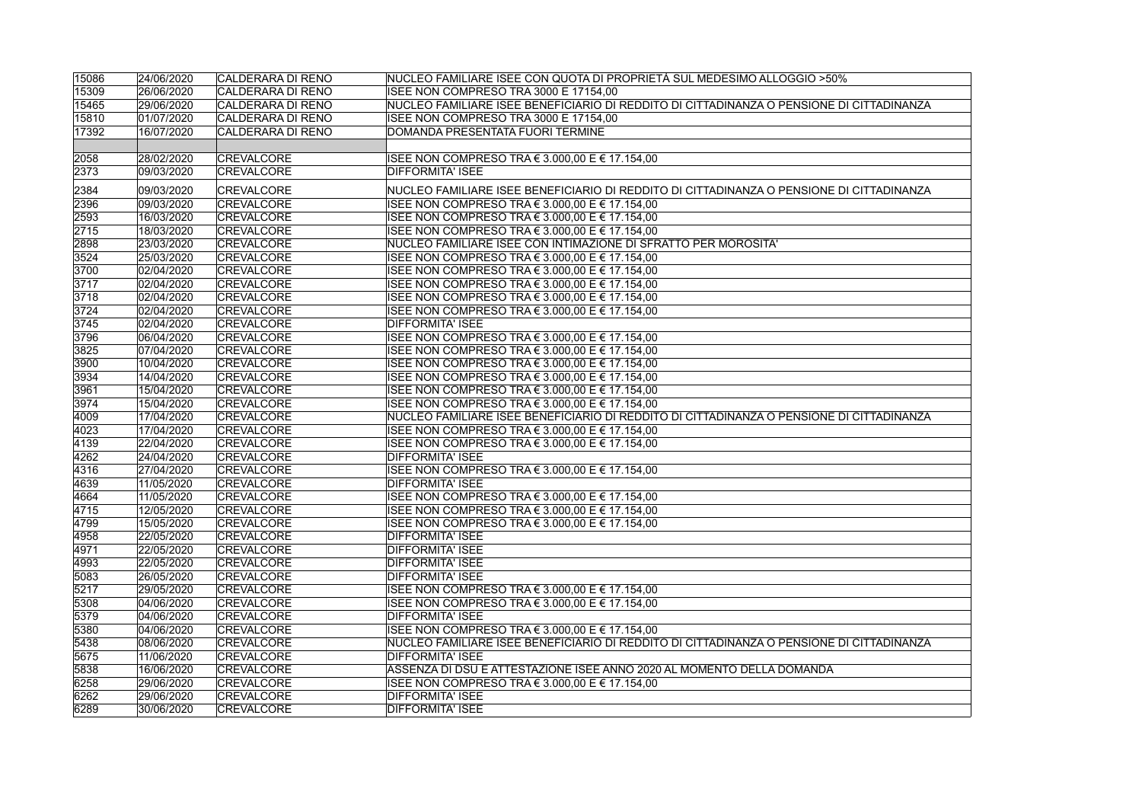| 15086 | 24/06/2020 | CALDERARA DI RENO        | INUCLEO FAMILIARE ISEE CON QUOTA DI PROPRIETÀ SUL MEDESIMO ALLOGGIO >50%                 |
|-------|------------|--------------------------|------------------------------------------------------------------------------------------|
| 15309 | 26/06/2020 | CALDERARA DI RENO        | ISEE NON COMPRESO TRA 3000 E 17154,00                                                    |
| 15465 | 29/06/2020 | <b>CALDERARA DI RENO</b> | NUCLEO FAMILIARE ISEE BENEFICIARIO DI REDDITO DI CITTADINANZA O PENSIONE DI CITTADINANZA |
| 15810 | 01/07/2020 | CALDERARA DI RENO        | ISEE NON COMPRESO TRA 3000 E 17154,00                                                    |
| 17392 | 16/07/2020 | <b>CALDERARA DI RENO</b> | DOMANDA PRESENTATA FUORI TERMINE                                                         |
|       |            |                          |                                                                                          |
| 2058  | 28/02/2020 | <b>CREVALCORE</b>        | ISEE NON COMPRESO TRA € 3.000,00 E € 17.154,00                                           |
| 2373  | 09/03/2020 | CREVALCORE               | <b>DIFFORMITA' ISEE</b>                                                                  |
|       |            |                          |                                                                                          |
| 2384  | 09/03/2020 | <b>CREVALCORE</b>        | NUCLEO FAMILIARE ISEE BENEFICIARIO DI REDDITO DI CITTADINANZA O PENSIONE DI CITTADINANZA |
| 2396  | 09/03/2020 | <b>CREVALCORE</b>        | ISEE NON COMPRESO TRA € 3.000.00 E € 17.154.00                                           |
| 2593  | 16/03/2020 | <b>CREVALCORE</b>        | ISEE NON COMPRESO TRA € 3.000,00 E € 17.154,00                                           |
| 2715  | 18/03/2020 | <b>CREVALCORE</b>        | ISEE NON COMPRESO TRA € 3.000,00 E € 17.154,00                                           |
| 2898  | 23/03/2020 | <b>CREVALCORE</b>        | NUCLEO FAMILIARE ISEE CON INTIMAZIONE DI SFRATTO PER MOROSITA'                           |
| 3524  | 25/03/2020 | <b>CREVALCORE</b>        | ISEE NON COMPRESO TRA € 3.000,00 E € 17.154,00                                           |
| 3700  | 02/04/2020 | <b>CREVALCORE</b>        | ISEE NON COMPRESO TRA € 3.000,00 E € 17.154,00                                           |
| 3717  | 02/04/2020 | <b>CREVALCORE</b>        | ISEE NON COMPRESO TRA € 3.000,00 E € 17.154,00                                           |
| 3718  | 02/04/2020 | <b>CREVALCORE</b>        | ISEE NON COMPRESO TRA € 3.000,00 E € 17.154,00                                           |
| 3724  | 02/04/2020 | <b>CREVALCORE</b>        | ISEE NON COMPRESO TRA € 3.000.00 E € 17.154.00                                           |
| 3745  | 02/04/2020 | <b>CREVALCORE</b>        | <b>DIFFORMITA' ISEE</b>                                                                  |
| 3796  | 06/04/2020 | <b>CREVALCORE</b>        | ISEE NON COMPRESO TRA € 3.000,00 E € 17.154,00                                           |
| 3825  | 07/04/2020 | <b>CREVALCORE</b>        | ISEE NON COMPRESO TRA € 3.000.00 E € 17.154.00                                           |
| 3900  | 10/04/2020 | <b>CREVALCORE</b>        | ISEE NON COMPRESO TRA € 3.000,00 E € 17.154,00                                           |
| 3934  | 14/04/2020 | <b>CREVALCORE</b>        | ISEE NON COMPRESO TRA € 3.000,00 E € 17.154,00                                           |
| 3961  | 15/04/2020 | <b>CREVALCORE</b>        | ISEE NON COMPRESO TRA € 3.000,00 E € 17.154,00                                           |
| 3974  | 15/04/2020 | <b>CREVALCORE</b>        | ISEE NON COMPRESO TRA € 3.000,00 E € 17.154,00                                           |
| 4009  | 17/04/2020 | <b>CREVALCORE</b>        | NUCLEO FAMILIARE ISEE BENEFICIARIO DI REDDITO DI CITTADINANZA O PENSIONE DI CITTADINANZA |
| 4023  | 17/04/2020 | <b>CREVALCORE</b>        | ISEE NON COMPRESO TRA € 3.000,00 E € 17.154,00                                           |
| 4139  | 22/04/2020 | <b>CREVALCORE</b>        | ISEE NON COMPRESO TRA € 3.000,00 E € 17.154,00                                           |
| 4262  | 24/04/2020 | <b>CREVALCORE</b>        | <b>DIFFORMITA' ISEE</b>                                                                  |
| 4316  | 27/04/2020 | <b>CREVALCORE</b>        | ISEE NON COMPRESO TRA € 3.000,00 E € 17.154,00                                           |
| 4639  | 11/05/2020 | <b>CREVALCORE</b>        | <b>DIFFORMITA' ISEE</b>                                                                  |
| 4664  | 11/05/2020 | <b>CREVALCORE</b>        | ISEE NON COMPRESO TRA € 3.000,00 E € 17.154,00                                           |
| 4715  | 12/05/2020 | <b>CREVALCORE</b>        | ISEE NON COMPRESO TRA € 3.000,00 E € 17.154,00                                           |
| 4799  | 15/05/2020 | <b>CREVALCORE</b>        | ISEE NON COMPRESO TRA € 3.000,00 E € 17.154,00                                           |
| 4958  | 22/05/2020 | <b>CREVALCORE</b>        | DIFFORMITA' ISEE                                                                         |
| 4971  | 22/05/2020 | <b>CREVALCORE</b>        | <b>DIFFORMITA' ISEE</b>                                                                  |
| 4993  | 22/05/2020 | CREVALCORE               | <b>DIFFORMITA' ISEE</b>                                                                  |
| 5083  | 26/05/2020 | <b>CREVALCORE</b>        | <b>DIFFORMITA' ISEE</b>                                                                  |
| 5217  | 29/05/2020 | <b>CREVALCORE</b>        | ISEE NON COMPRESO TRA € 3.000,00 E € 17.154,00                                           |
| 5308  | 04/06/2020 | <b>CREVALCORE</b>        | ISEE NON COMPRESO TRA € 3.000.00 E € 17.154.00                                           |
| 5379  | 04/06/2020 | <b>CREVALCORE</b>        | <b>DIFFORMITA' ISEE</b>                                                                  |
| 5380  | 04/06/2020 | <b>CREVALCORE</b>        | ISEE NON COMPRESO TRA € 3.000.00 E € 17.154.00                                           |
| 5438  | 08/06/2020 | CREVALCORE               | NUCLEO FAMILIARE ISEE BENEFICIARIO DI REDDITO DI CITTADINANZA O PENSIONE DI CITTADINANZA |
| 5675  | 11/06/2020 | <b>CREVALCORE</b>        | <b>DIFFORMITA' ISEE</b>                                                                  |
| 5838  | 16/06/2020 | <b>CREVALCORE</b>        | ASSENZA DI DSU E ATTESTAZIONE ISEE ANNO 2020 AL MOMENTO DELLA DOMANDA                    |
| 6258  | 29/06/2020 | <b>CREVALCORE</b>        | ISEE NON COMPRESO TRA € 3.000,00 E € 17.154,00                                           |
| 6262  | 29/06/2020 | <b>CREVALCORE</b>        | <b>DIFFORMITA' ISEE</b>                                                                  |
| 6289  | 30/06/2020 | <b>CREVALCORE</b>        | <b>DIFFORMITA' ISEE</b>                                                                  |
|       |            |                          |                                                                                          |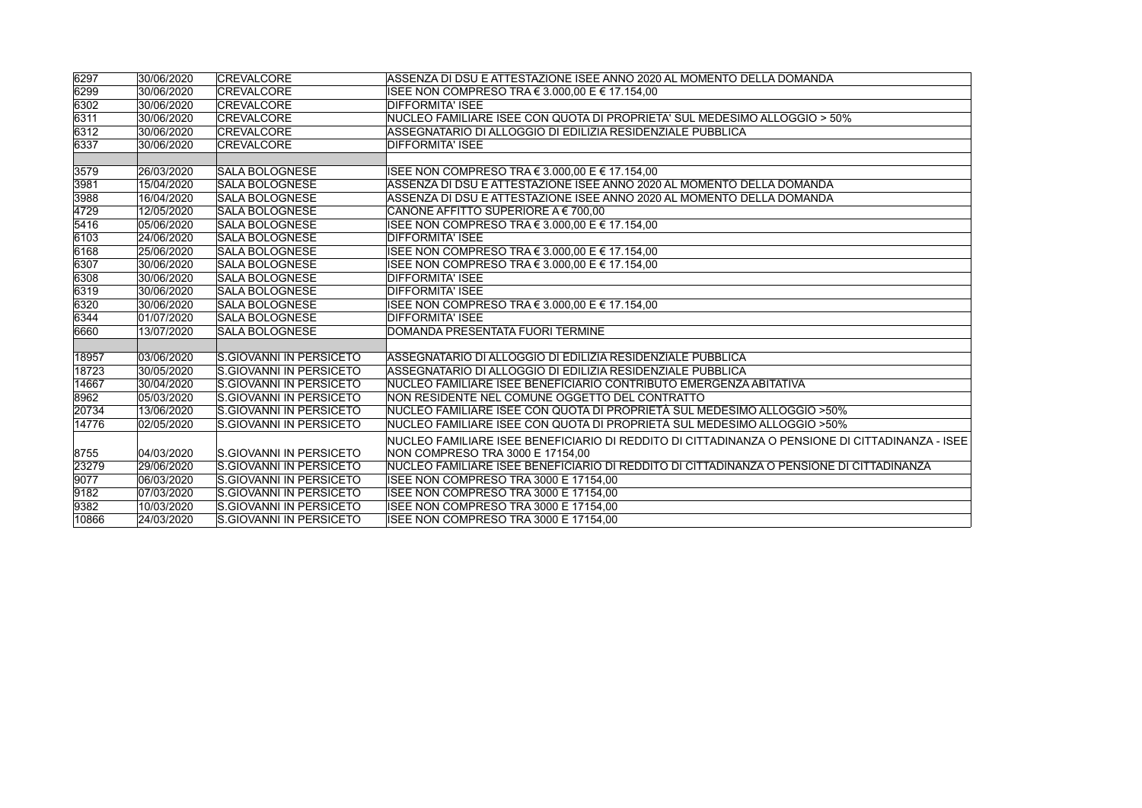| 6297  | 30/06/2020 | <b>CREVALCORE</b>              | ASSENZA DI DSU E ATTESTAZIONE ISEE ANNO 2020 AL MOMENTO DELLA DOMANDA                           |
|-------|------------|--------------------------------|-------------------------------------------------------------------------------------------------|
| 6299  | 30/06/2020 | <b>CREVALCORE</b>              | ISEE NON COMPRESO TRA € 3.000,00 E € 17.154,00                                                  |
| 6302  | 30/06/2020 | <b>CREVALCORE</b>              | DIFFORMITA' ISEE                                                                                |
| 6311  | 30/06/2020 | <b>CREVALCORE</b>              | NUCLEO FAMILIARE ISEE CON QUOTA DI PROPRIETA' SUL MEDESIMO ALLOGGIO > 50%                       |
| 6312  | 30/06/2020 | <b>CREVALCORE</b>              | ASSEGNATARIO DI ALLOGGIO DI EDILIZIA RESIDENZIALE PUBBLICA                                      |
| 6337  | 30/06/2020 | <b>CREVALCORE</b>              | <b>DIFFORMITA' ISEE</b>                                                                         |
|       |            |                                |                                                                                                 |
| 3579  | 26/03/2020 | <b>SALA BOLOGNESE</b>          | ISEE NON COMPRESO TRA € 3.000,00 E € 17.154,00                                                  |
| 3981  | 15/04/2020 | SALA BOLOGNESE                 | ASSENZA DI DSU E ATTESTAZIONE ISEE ANNO 2020 AL MOMENTO DELLA DOMANDA                           |
| 3988  | 16/04/2020 | SALA BOLOGNESE                 | ASSENZA DI DSU E ATTESTAZIONE ISEE ANNO 2020 AL MOMENTO DELLA DOMANDA                           |
| 4729  | 12/05/2020 | <b>SALA BOLOGNESE</b>          | CANONE AFFITTO SUPERIORE A € 700,00                                                             |
| 5416  | 05/06/2020 | <b>SALA BOLOGNESE</b>          | ISEE NON COMPRESO TRA € 3.000,00 E € 17.154,00                                                  |
| 6103  | 24/06/2020 | SALA BOLOGNESE                 | <b>DIFFORMITA' ISEE</b>                                                                         |
| 6168  | 25/06/2020 | <b>SALA BOLOGNESE</b>          | ISEE NON COMPRESO TRA € 3.000,00 E € 17.154,00                                                  |
| 6307  | 30/06/2020 | SALA BOLOGNESE                 | ISEE NON COMPRESO TRA € 3.000,00 E € 17.154,00                                                  |
| 6308  | 30/06/2020 | <b>SALA BOLOGNESE</b>          | <b>DIFFORMITA' ISEE</b>                                                                         |
| 6319  | 30/06/2020 | <b>SALA BOLOGNESE</b>          | <b>DIFFORMITA' ISEE</b>                                                                         |
| 6320  | 30/06/2020 | SALA BOLOGNESE                 | ISEE NON COMPRESO TRA € 3.000.00 E € 17.154.00                                                  |
| 6344  | 01/07/2020 | <b>SALA BOLOGNESE</b>          | <b>DIFFORMITA' ISEE</b>                                                                         |
| 6660  | 13/07/2020 | SALA BOLOGNESE                 | DOMANDA PRESENTATA FUORI TERMINE                                                                |
|       |            |                                |                                                                                                 |
| 18957 | 03/06/2020 | <b>S.GIOVANNI IN PERSICETO</b> | ASSEGNATARIO DI ALLOGGIO DI EDILIZIA RESIDENZIALE PUBBLICA                                      |
| 18723 | 30/05/2020 | S.GIOVANNI IN PERSICETO        | ASSEGNATARIO DI ALLOGGIO DI EDILIZIA RESIDENZIALE PUBBLICA                                      |
| 14667 | 30/04/2020 | <b>S.GIOVANNI IN PERSICETO</b> | NUCLEO FAMILIARE ISEE BENEFICIARIO CONTRIBUTO EMERGENZA ABITATIVA                               |
| 8962  | 05/03/2020 | <b>S.GIOVANNI IN PERSICETO</b> | NON RESIDENTE NEL COMUNE OGGETTO DEL CONTRATTO                                                  |
| 20734 | 13/06/2020 | S.GIOVANNI IN PERSICETO        | NUCLEO FAMILIARE ISEE CON QUOTA DI PROPRIETÀ SUL MEDESIMO ALLOGGIO >50%                         |
| 14776 | 02/05/2020 | S.GIOVANNI IN PERSICETO        | NUCLEO FAMILIARE ISEE CON QUOTA DI PROPRIETÀ SUL MEDESIMO ALLOGGIO >50%                         |
|       |            |                                | NUCLEO FAMILIARE ISEE BENEFICIARIO DI REDDITO DI CITTADINANZA O PENSIONE DI CITTADINANZA - ISEE |
| 8755  | 04/03/2020 | S.GIOVANNI IN PERSICETO        | NON COMPRESO TRA 3000 E 17154,00                                                                |
| 23279 | 29/06/2020 | IS GIOVANNI IN PERSICETO       | NUCLEO FAMILIARE ISEE BENEFICIARIO DI REDDITO DI CITTADINANZA O PENSIONE DI CITTADINANZA        |
| 9077  | 06/03/2020 | S.GIOVANNI IN PERSICETO        | ISEE NON COMPRESO TRA 3000 E 17154,00                                                           |
| 9182  | 07/03/2020 | S.GIOVANNI IN PERSICETO        | ISEE NON COMPRESO TRA 3000 E 17154,00                                                           |
| 9382  | 10/03/2020 | <b>S.GIOVANNI IN PERSICETO</b> | ISEE NON COMPRESO TRA 3000 E 17154.00                                                           |
| 10866 | 24/03/2020 | <b>S.GIOVANNI IN PERSICETO</b> | ISEE NON COMPRESO TRA 3000 E 17154,00                                                           |